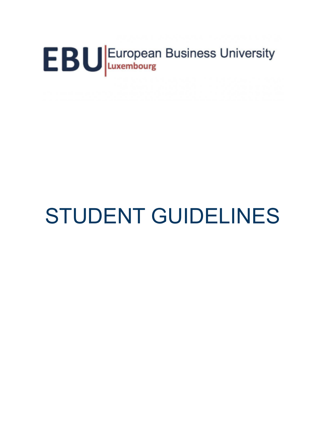# EBU European Business University

# STUDENT GUIDELINES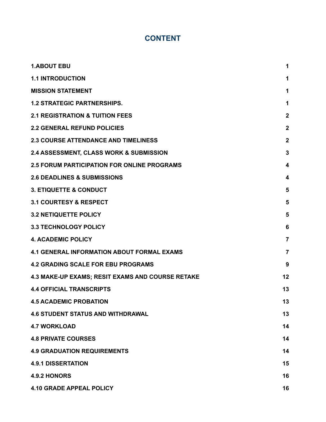# **CONTENT**

| <b>1.ABOUT EBU</b>                                 | 1                       |
|----------------------------------------------------|-------------------------|
| <b>1.1 INTRODUCTION</b>                            | 1                       |
| <b>MISSION STATEMENT</b>                           | 1                       |
| <b>1.2 STRATEGIC PARTNERSHIPS.</b>                 | 1                       |
| <b>2.1 REGISTRATION &amp; TUITION FEES</b>         | $\overline{\mathbf{2}}$ |
| <b>2.2 GENERAL REFUND POLICIES</b>                 | $\boldsymbol{2}$        |
| <b>2.3 COURSE ATTENDANCE AND TIMELINESS</b>        | $\overline{\mathbf{2}}$ |
| 2.4 ASSESSMENT, CLASS WORK & SUBMISSION            | $\mathbf 3$             |
| <b>2.5 FORUM PARTICIPATION FOR ONLINE PROGRAMS</b> | 4                       |
| <b>2.6 DEADLINES &amp; SUBMISSIONS</b>             | 4                       |
| <b>3. ETIQUETTE &amp; CONDUCT</b>                  | 5                       |
| <b>3.1 COURTESY &amp; RESPECT</b>                  | 5                       |
| <b>3.2 NETIQUETTE POLICY</b>                       | 5                       |
| <b>3.3 TECHNOLOGY POLICY</b>                       | 6                       |
| <b>4. ACADEMIC POLICY</b>                          | $\overline{7}$          |
| <b>4.1 GENERAL INFORMATION ABOUT FORMAL EXAMS</b>  | $\overline{7}$          |
| <b>4.2 GRADING SCALE FOR EBU PROGRAMS</b>          | 9                       |
| 4.3 MAKE-UP EXAMS; RESIT EXAMS AND COURSE RETAKE   | 12                      |
| <b>4.4 OFFICIAL TRANSCRIPTS</b>                    | 13                      |
| <b>4.5 ACADEMIC PROBATION</b>                      | 13                      |
| <b>4.6 STUDENT STATUS AND WITHDRAWAL</b>           | 13                      |
| <b>4.7 WORKLOAD</b>                                | 14                      |
| <b>4.8 PRIVATE COURSES</b>                         | 14                      |
| <b>4.9 GRADUATION REQUIREMENTS</b>                 | 14                      |
| <b>4.9.1 DISSERTATION</b>                          | 15                      |
| 4.9.2 HONORS                                       | 16                      |
| <b>4.10 GRADE APPEAL POLICY</b>                    | 16                      |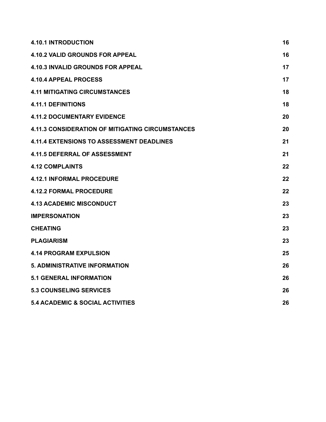| <b>4.10.1 INTRODUCTION</b>                       | 16 |
|--------------------------------------------------|----|
| <b>4.10.2 VALID GROUNDS FOR APPEAL</b>           | 16 |
| <b>4.10.3 INVALID GROUNDS FOR APPEAL</b>         | 17 |
| <b>4.10.4 APPEAL PROCESS</b>                     | 17 |
| <b>4.11 MITIGATING CIRCUMSTANCES</b>             | 18 |
| <b>4.11.1 DEFINITIONS</b>                        | 18 |
| <b>4.11.2 DOCUMENTARY EVIDENCE</b>               | 20 |
| 4.11.3 CONSIDERATION OF MITIGATING CIRCUMSTANCES | 20 |
| <b>4.11.4 EXTENSIONS TO ASSESSMENT DEADLINES</b> | 21 |
| <b>4.11.5 DEFERRAL OF ASSESSMENT</b>             | 21 |
| <b>4.12 COMPLAINTS</b>                           | 22 |
| <b>4.12.1 INFORMAL PROCEDURE</b>                 | 22 |
| <b>4.12.2 FORMAL PROCEDURE</b>                   | 22 |
| <b>4.13 ACADEMIC MISCONDUCT</b>                  | 23 |
| <b>IMPERSONATION</b>                             | 23 |
| <b>CHEATING</b>                                  | 23 |
| <b>PLAGIARISM</b>                                | 23 |
| <b>4.14 PROGRAM EXPULSION</b>                    | 25 |
| <b>5. ADMINISTRATIVE INFORMATION</b>             | 26 |
| <b>5.1 GENERAL INFORMATION</b>                   | 26 |
| <b>5.3 COUNSELING SERVICES</b>                   | 26 |
| <b>5.4 ACADEMIC &amp; SOCIAL ACTIVITIES</b>      | 26 |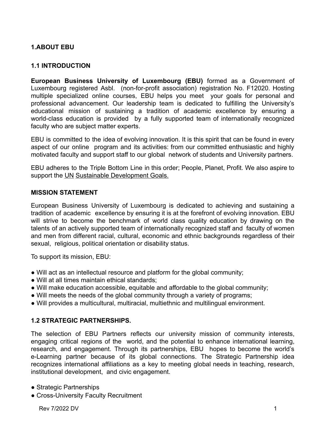# <span id="page-3-1"></span><span id="page-3-0"></span>**1.ABOUT EBU**

#### **1.1 INTRODUCTION**

**European Business University of Luxembourg (EBU)** formed as a Government of Luxembourg registered Asbl. (non-for-profit association) registration No. F12020. Hosting multiple specialized online courses, EBU helps you meet your goals for personal and professional advancement. Our leadership team is dedicated to fulfilling the University's educational mission of sustaining a tradition of academic excellence by ensuring a world-class education is provided by a fully supported team of internationally recognized faculty who are subject matter experts.

EBU is committed to the idea of evolving innovation. It is this spirit that can be found in every aspect of our online program and its activities: from our committed enthusiastic and highly motivated faculty and support staff to our global network of students and University partners.

EBU adheres to the Triple Bottom Line in this order; People, Planet, Profit. We also aspire to support the UN Sustainable Development Goals.

#### <span id="page-3-2"></span>**MISSION STATEMENT**

European Business University of Luxembourg is dedicated to achieving and sustaining a tradition of academic excellence by ensuring it is at the forefront of evolving innovation. EBU will strive to become the benchmark of world class quality education by drawing on the talents of an actively supported team of internationally recognized staff and faculty of women and men from different racial, cultural, economic and ethnic backgrounds regardless of their sexual, religious, political orientation or disability status.

To support its mission, EBU:

- Will act as an intellectual resource and platform for the global community;
- Will at all times maintain ethical standards;
- Will make education accessible, equitable and affordable to the global community;
- Will meets the needs of the global community through a variety of programs;
- <span id="page-3-3"></span>● Will provides a multicultural, multiracial, multiethnic and multilingual environment.

# **1.2 STRATEGIC PARTNERSHIPS.**

The selection of EBU Partners reflects our university mission of community interests, engaging critical regions of the world, and the potential to enhance international learning, research, and engagement. Through its partnerships, EBU hopes to become the world's e-Learning partner because of its global connections. The Strategic Partnership idea recognizes international affiliations as a key to meeting global needs in teaching, research, institutional development, and civic engagement.

- Strategic Partnerships
- Cross-University Faculty Recruitment

Rev 7/2022 DV 1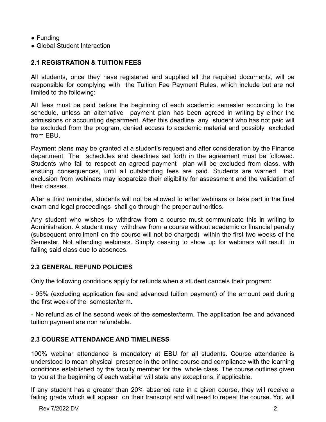- Funding
- <span id="page-4-0"></span>• Global Student Interaction

# **2.1 REGISTRATION & TUITION FEES**

All students, once they have registered and supplied all the required documents, will be responsible for complying with the Tuition Fee Payment Rules, which include but are not limited to the following:

All fees must be paid before the beginning of each academic semester according to the schedule, unless an alternative payment plan has been agreed in writing by either the admissions or accounting department. After this deadline, any student who has not paid will be excluded from the program, denied access to academic material and possibly excluded from EBU.

Payment plans may be granted at a student's request and after consideration by the Finance department. The schedules and deadlines set forth in the agreement must be followed. Students who fail to respect an agreed payment plan will be excluded from class, with ensuing consequences, until all outstanding fees are paid. Students are warned that exclusion from webinars may jeopardize their eligibility for assessment and the validation of their classes.

After a third reminder, students will not be allowed to enter webinars or take part in the final exam and legal proceedings shall go through the proper authorities.

Any student who wishes to withdraw from a course must communicate this in writing to Administration. A student may withdraw from a course without academic or financial penalty (subsequent enrollment on the course will not be charged) within the first two weeks of the Semester. Not attending webinars. Simply ceasing to show up for webinars will result in failing said class due to absences.

# <span id="page-4-1"></span>**2.2 GENERAL REFUND POLICIES**

Only the following conditions apply for refunds when a student cancels their program:

**-** 95% (excluding application fee and advanced tuition payment) of the amount paid during the first week of the semester/term.

**-** No refund as of the second week of the semester/term. The application fee and advanced tuition payment are non refundable.

# <span id="page-4-2"></span>**2.3 COURSE ATTENDANCE AND TIMELINESS**

100% webinar attendance is mandatory at EBU for all students. Course attendance is understood to mean physical presence in the online course and compliance with the learning conditions established by the faculty member for the whole class. The course outlines given to you at the beginning of each webinar will state any exceptions, if applicable.

If any student has a greater than 20% absence rate in a given course, they will receive a failing grade which will appear on their transcript and will need to repeat the course. You will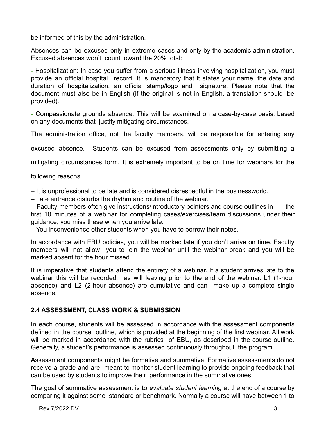be informed of this by the administration.

Absences can be excused only in extreme cases and only by the academic administration. Excused absences won't count toward the 20% total:

**-** Hospitalization: In case you suffer from a serious illness involving hospitalization, you must provide an official hospital record. It is mandatory that it states your name, the date and duration of hospitalization, an official stamp/logo and signature. Please note that the document must also be in English (if the original is not in English, a translation should be provided).

**-** Compassionate grounds absence: This will be examined on a case-by-case basis, based on any documents that justify mitigating circumstances.

The administration office, not the faculty members, will be responsible for entering any

excused absence. Students can be excused from assessments only by submitting a

mitigating circumstances form. It is extremely important to be on time for webinars for the

following reasons:

– It is unprofessional to be late and is considered disrespectful in the businessworld.

– Late entrance disturbs the rhythm and routine of the webinar.

– Faculty members often give instructions/introductory pointers and course outlines in the first 10 minutes of a webinar for completing cases/exercises/team discussions under their guidance, you miss these when you arrive late.

– You inconvenience other students when you have to borrow their notes.

In accordance with EBU policies, you will be marked late if you don't arrive on time. Faculty members will not allow you to join the webinar until the webinar break and you will be marked absent for the hour missed.

It is imperative that students attend the entirety of a webinar. If a student arrives late to the webinar this will be recorded, as will leaving prior to the end of the webinar. L1 (1-hour absence) and L2 (2-hour absence) are cumulative and can make up a complete single absence.

# <span id="page-5-0"></span>**2.4 ASSESSMENT, CLASS WORK & SUBMISSION**

In each course, students will be assessed in accordance with the assessment components defined in the course outline, which is provided at the beginning of the first webinar. All work will be marked in accordance with the rubrics of EBU, as described in the course outline. Generally, a student's performance is assessed continuously throughout the program.

Assessment components might be formative and summative. Formative assessments do not receive a grade and are meant to monitor student learning to provide ongoing feedback that can be used by students to improve their performance in the summative ones.

The goal of summative assessment is to *evaluate student learning* at the end of a course by comparing it against some standard or benchmark. Normally a course will have between 1 to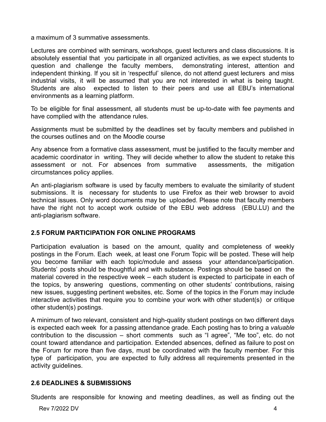a maximum of 3 summative assessments.

Lectures are combined with seminars, workshops, guest lecturers and class discussions. It is absolutely essential that you participate in all organized activities, as we expect students to question and challenge the faculty members, demonstrating interest, attention and independent thinking. If you sit in 'respectful' silence, do not attend guest lecturers and miss industrial visits, it will be assumed that you are not interested in what is being taught. Students are also expected to listen to their peers and use all EBU's international environments as a learning platform.

To be eligible for final assessment, all students must be up-to-date with fee payments and have complied with the attendance rules.

Assignments must be submitted by the deadlines set by faculty members and published in the courses outlines and on the Moodle course

Any absence from a formative class assessment, must be justified to the faculty member and academic coordinator in writing. They will decide whether to allow the student to retake this assessment or not. For absences from summative assessments, the mitigation circumstances policy applies.

An anti-plagiarism software is used by faculty members to evaluate the similarity of student submissions. It is necessary for students to use Firefox as their web browser to avoid technical issues. Only word documents may be uploaded. Please note that faculty members have the right not to accept work outside of the EBU web address (EBU.LU) and the anti-plagiarism software.

#### <span id="page-6-0"></span>**2.5 FORUM PARTICIPATION FOR ONLINE PROGRAMS**

Participation evaluation is based on the amount, quality and completeness of weekly postings in the Forum. Each week, at least one Forum Topic will be posted. These will help you become familiar with each topic/module and assess your attendance/participation. Students' posts should be thoughtful and with substance. Postings should be based on the material covered in the respective week – each student is expected to participate in each of the topics, by answering questions, commenting on other students' contributions, raising new issues, suggesting pertinent websites, etc. Some of the topics in the Forum may include interactive activities that require you to combine your work with other student(s) or critique other student(s) postings.

A minimum of two relevant, consistent and high-quality student postings on two different days is expected each week for a passing attendance grade. Each posting has to bring a *valuable* contribution to the discussion – short comments such as "I agree", "Me too", etc. do not count toward attendance and participation. Extended absences, defined as failure to post on the Forum for more than five days, must be coordinated with the faculty member. For this type of participation, you are expected to fully address all requirements presented in the activity guidelines.

#### <span id="page-6-1"></span>**2.6 DEADLINES & SUBMISSIONS**

Students are responsible for knowing and meeting deadlines, as well as finding out the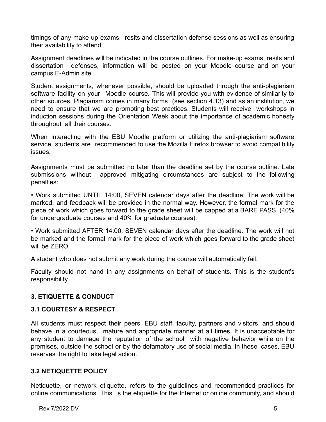timings of any make-up exams, resits and dissertation defense sessions as well as ensuring their availability to attend.

Assignment deadlines will be indicated in the course outlines. For make-up exams, resits and dissertation defenses, information will be posted on your Moodle course and on your campus E-Admin site.

Student assignments, whenever possible, should be uploaded through the anti-plagiarism software facility on your Moodle course. This will provide you with evidence of similarity to other sources. Plagiarism comes in many forms (see section 4.13) and as an institution, we need to ensure that we are promoting best practices. Students will receive workshops in induction sessions during the Orientation Week about the importance of academic honesty throughout all their courses.

When interacting with the EBU Moodle platform or utilizing the anti-plagiarism software service, students are recommended to use the Mozilla Firefox browser to avoid compatibility issues.

Assignments must be submitted no later than the deadline set by the course outline. Late submissions without approved mitigating circumstances are subject to the following penalties:

• Work submitted UNTIL 14:00, SEVEN calendar days after the deadline: The work will be marked, and feedback will be provided in the normal way. However, the formal mark for the piece of work which goes forward to the grade sheet will be capped at a BARE PASS. (40% for undergraduate courses and 40% for graduate courses).

• Work submitted AFTER 14:00, SEVEN calendar days after the deadline. The work will not be marked and the formal mark for the piece of work which goes forward to the grade sheet will be ZERO.

A student who does not submit any work during the course will automatically fail.

Faculty should not hand in any assignments on behalf of students. This is the student's responsibility.

# <span id="page-7-0"></span>**3. ETIQUETTE & CONDUCT**

# <span id="page-7-1"></span>**3.1 COURTESY & RESPECT**

All students must respect their peers, EBU staff, faculty, partners and visitors, and should behave in a courteous, mature and appropriate manner at all times. It is unacceptable for any student to damage the reputation of the school with negative behavior while on the premises, outside the school or by the defamatory use of social media. In these cases, EBU reserves the right to take legal action.

#### <span id="page-7-2"></span>**3.2 NETIQUETTE POLICY**

Netiquette, or network etiquette, refers to the guidelines and recommended practices for online communications. This is the etiquette for the Internet or online community, and should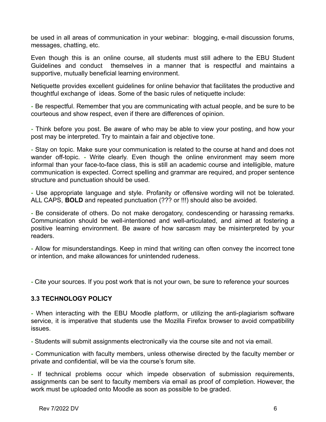be used in all areas of communication in your webinar: blogging, e-mail discussion forums, messages, chatting, etc.

Even though this is an online course, all students must still adhere to the EBU Student Guidelines and conduct themselves in a manner that is respectful and maintains a supportive, mutually beneficial learning environment.

Netiquette provides excellent guidelines for online behavior that facilitates the productive and thoughtful exchange of ideas. Some of the basic rules of netiquette include:

**-** Be respectful. Remember that you are communicating with actual people, and be sure to be courteous and show respect, even if there are differences of opinion.

**-** Think before you post. Be aware of who may be able to view your posting, and how your post may be interpreted. Try to maintain a fair and objective tone.

**-** Stay on topic. Make sure your communication is related to the course at hand and does not wander off-topic. **-** Write clearly. Even though the online environment may seem more informal than your face-to-face class, this is still an academic course and intelligible, mature communication is expected. Correct spelling and grammar are required, and proper sentence structure and punctuation should be used.

**-** Use appropriate language and style. Profanity or offensive wording will not be tolerated. ALL CAPS, **BOLD** and repeated punctuation (??? or !!!) should also be avoided.

**-** Be considerate of others. Do not make derogatory, condescending or harassing remarks. Communication should be well-intentioned and well-articulated, and aimed at fostering a positive learning environment. Be aware of how sarcasm may be misinterpreted by your readers.

**-** Allow for misunderstandings. Keep in mind that writing can often convey the incorrect tone or intention, and make allowances for unintended rudeness.

<span id="page-8-0"></span>**-** Cite your sources. If you post work that is not your own, be sure to reference your sources

#### **3.3 TECHNOLOGY POLICY**

**-** When interacting with the EBU Moodle platform, or utilizing the anti-plagiarism software service, it is imperative that students use the Mozilla Firefox browser to avoid compatibility issues.

**-** Students will submit assignments electronically via the course site and not via email.

**-** Communication with faculty members, unless otherwise directed by the faculty member or private and confidential, will be via the course's forum site.

**-** If technical problems occur which impede observation of submission requirements, assignments can be sent to faculty members via email as proof of completion. However, the work must be uploaded onto Moodle as soon as possible to be graded.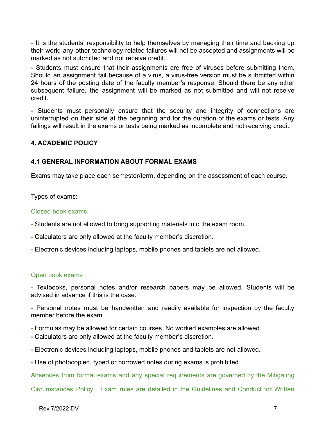**-** It is the students' responsibility to help themselves by managing their time and backing up their work; any other technology-related failures will not be accepted and assignments will be marked as not submitted and not receive credit.

**-** Students must ensure that their assignments are free of viruses before submitting them. Should an assignment fail because of a virus, a virus-free version must be submitted within 24 hours of the posting date of the faculty member's response. Should there be any other subsequent failure, the assignment will be marked as not submitted and will not receive credit.

**-** Students must personally ensure that the security and integrity of connections are uninterrupted on their side at the beginning and for the duration of the exams or tests. Any failings will result in the exams or tests being marked as incomplete and not receiving credit.

#### <span id="page-9-1"></span><span id="page-9-0"></span>**4. ACADEMIC POLICY**

#### **4.1 GENERAL INFORMATION ABOUT FORMAL EXAMS**

Exams may take place each semester/term, depending on the assessment of each course.

Types of exams:

#### Closed book exams

- **-** Students are not allowed to bring supporting materials into the exam room.
- **-** Calculators are only allowed at the faculty member's discretion.
- **-** Electronic devices including laptops, mobile phones and tablets are not allowed.

#### Open book exams

**-** Textbooks, personal notes and/or research papers may be allowed. Students will be advised in advance if this is the case.

**-** Personal notes must be handwritten and readily available for inspection by the faculty member before the exam.

- **-** Formulas may be allowed for certain courses. No worked examples are allowed.
- **-** Calculators are only allowed at the faculty member's discretion.
- **-** Electronic devices including laptops, mobile phones and tablets are not allowed.
- **-** Use of photocopied, typed or borrowed notes during exams is prohibited.

Absences from formal exams and any special requirements are governed by the Mitigating

Circumstances Policy. Exam rules are detailed in the Guidelines and Conduct for Written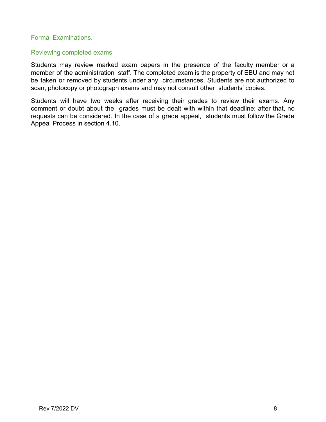#### Formal Examinations.

#### Reviewing completed exams

Students may review marked exam papers in the presence of the faculty member or a member of the administration staff. The completed exam is the property of EBU and may not be taken or removed by students under any circumstances. Students are not authorized to scan, photocopy or photograph exams and may not consult other students' copies.

Students will have two weeks after receiving their grades to review their exams. Any comment or doubt about the grades must be dealt with within that deadline; after that, no requests can be considered. In the case of a grade appeal, students must follow the Grade Appeal Process in section 4.10.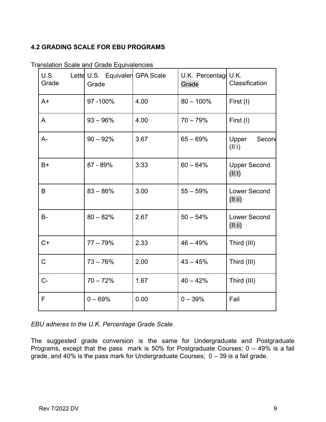# <span id="page-11-0"></span>**4.2 GRADING SCALE FOR EBU PROGRAMS**

| U.S.<br>Grade | Lette U.S. Equivalen GPA Scale<br>Grade |      | U.K. Percentag U.K.<br>Grade | Classification                 |
|---------------|-----------------------------------------|------|------------------------------|--------------------------------|
| $A+$          | 97-100%                                 | 4.00 | $80 - 100\%$                 | First (I)                      |
| A             | $93 - 96\%$                             | 4.00 | $70 - 79%$                   | First (I)                      |
| $A -$         | $90 - 92%$                              | 3.67 | $65 - 69%$                   | Upper<br>Secon<br>(II:i)       |
| $B+$          | 87 - 89%                                | 3.33 | $60 - 64%$                   | <b>Upper Second</b><br>(II:1)  |
| B             | $83 - 86%$                              | 3.00 | $55 - 59%$                   | <b>Lower Second</b><br>(II:ii) |
| <b>B-</b>     | $80 - 82%$                              | 2.67 | $50 - 54%$                   | <b>Lower Second</b><br>(II:ii) |
| $C+$          | $77 - 79%$                              | 2.33 | $46 - 49%$                   | Third (III)                    |
| $\mathsf{C}$  | $73 - 76%$                              | 2.00 | $43 - 45%$                   | Third (III)                    |
| $C-$          | $70 - 72%$                              | 1.67 | $40 - 42%$                   | Third (III)                    |
| $\mathsf{F}$  | $0 - 69%$                               | 0.00 | $0 - 39%$                    | Fail                           |

Translation Scale and Grade Equivalencies

*EBU adheres to the U.K. Percentage Grade Scale.*

The suggested grade conversion is the same for Undergraduate and Postgraduate Programs, except that the pass mark is 50% for Postgraduate Courses;  $0 - 49%$  is a fail grade, and 40% is the pass mark for Undergraduate Courses; 0 – 39 is a fail grade.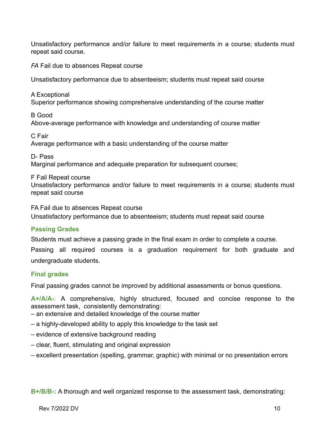Unsatisfactory performance and/or failure to meet requirements in a course; students must repeat said course.

*FA* Fail due to absences Repeat course

Unsatisfactory performance due to absenteeism; students must repeat said course

A Exceptional Superior performance showing comprehensive understanding of the course matter

B Good Above-average performance with knowledge and understanding of course matter

C Fair Average performance with a basic understanding of the course matter

D- Pass

Marginal performance and adequate preparation for subsequent courses;

F Fail Repeat course

Unsatisfactory performance and/or failure to meet requirements in a course; students must repeat said course

FA Fail due to absences Repeat course

Unsatisfactory performance due to absenteeism; students must repeat said course

#### **Passing Grades**

Students must achieve a passing grade in the final exam in order to complete a course.

Passing all required courses is a graduation requirement for both graduate and undergraduate students.

#### **Final grades**

Final passing grades cannot be improved by additional assessments or bonus questions.

**A+/A/A-**: A comprehensive, highly structured, focused and concise response to the assessment task, consistently demonstrating:

– an extensive and detailed knowledge of the course matter

- a highly-developed ability to apply this knowledge to the task set
- evidence of extensive background reading
- clear, fluent, stimulating and original expression
- excellent presentation (spelling, grammar, graphic) with minimal or no presentation errors

**B+/B/B-:** A thorough and well organized response to the assessment task, demonstrating: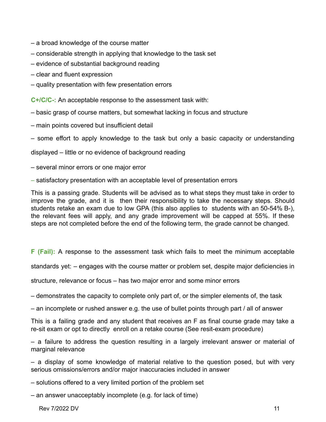- a broad knowledge of the course matter
- considerable strength in applying that knowledge to the task set
- evidence of substantial background reading
- clear and fluent expression
- quality presentation with few presentation errors

**C+/C/C-:** An acceptable response to the assessment task with:

- basic grasp of course matters, but somewhat lacking in focus and structure
- main points covered but insufficient detail
- some effort to apply knowledge to the task but only a basic capacity or understanding

displayed – little or no evidence of background reading

- several minor errors or one major error
- satisfactory presentation with an acceptable level of presentation errors

This is a passing grade. Students will be advised as to what steps they must take in order to improve the grade, and it is then their responsibility to take the necessary steps. Should students retake an exam due to low GPA (this also applies to students with an 50-54% B-), the relevant fees will apply, and any grade improvement will be capped at 55%. If these steps are not completed before the end of the following term, the grade cannot be changed.

**F (Fail):** A response to the assessment task which fails to meet the minimum acceptable

standards yet: – engages with the course matter or problem set, despite major deficiencies in

structure, relevance or focus – has two major error and some minor errors

– demonstrates the capacity to complete only part of, or the simpler elements of, the task

– an incomplete or rushed answer e.g. the use of bullet points through part / all of answer

This is a failing grade and any student that receives an F as final course grade may take a re-sit exam or opt to directly enroll on a retake course (See resit-exam procedure)

– a failure to address the question resulting in a largely irrelevant answer or material of marginal relevance

– a display of some knowledge of material relative to the question posed, but with very serious omissions/errors and/or major inaccuracies included in answer

- solutions offered to a very limited portion of the problem set
- an answer unacceptably incomplete (e.g. for lack of time)

Rev 7/2022 DV 11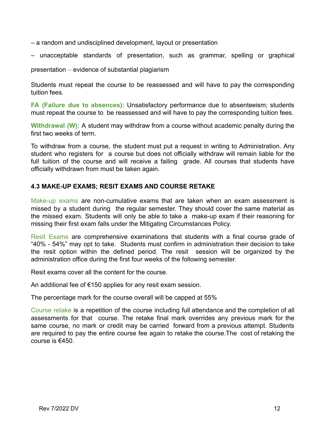- a random and undisciplined development, layout or presentation
- unacceptable standards of presentation, such as grammar, spelling or graphical

presentation – evidence of substantial plagiarism

Students must repeat the course to be reassessed and will have to pay the corresponding tuition fees.

**FA (Failure due to absences):** Unsatisfactory performance due to absenteeism; students must repeat the course to be reassessed and will have to pay the corresponding tuition fees.

**Withdrawal (W):** A student may withdraw from a course without academic penalty during the first two weeks of term.

To withdraw from a course, the student must put a request in writing to Administration. Any student who registers for a course but does not officially withdraw will remain liable for the full tuition of the course and will receive a failing grade. All courses that students have officially withdrawn from must be taken again.

#### <span id="page-14-0"></span>**4.3 MAKE-UP EXAMS; RESIT EXAMS AND COURSE RETAKE**

Make-up exams are non-cumulative exams that are taken when an exam assessment is missed by a student during the regular semester. They should cover the same material as the missed exam. Students will only be able to take a make-up exam if their reasoning for missing their first exam falls under the Mitigating Circumstances Policy.

Resit Exams are comprehensive examinations that students with a final course grade of "40% - 54%" may opt to take. Students must confirm in administration their decision to take the resit option within the defined period. The resit session will be organized by the administration office during the first four weeks of the following semester.

Resit exams cover all the content for the course.

An additional fee of €150 applies for any resit exam session.

The percentage mark for the course overall will be capped at 55%

Course retake is a repetition of the course including full attendance and the completion of all assessments for that course. The retake final mark overrides any previous mark for the same course, no mark or credit may be carried forward from a previous attempt. Students are required to pay the entire course fee again to retake the course.The cost of retaking the course is €450.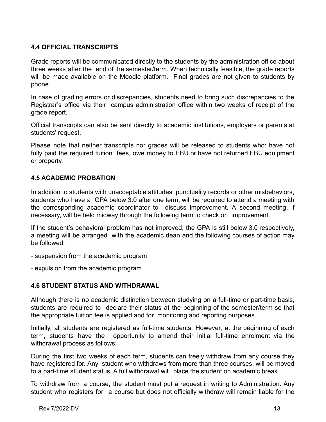# <span id="page-15-0"></span>**4.4 OFFICIAL TRANSCRIPTS**

Grade reports will be communicated directly to the students by the administration office about three weeks after the end of the semester/term. When technically feasible, the grade reports will be made available on the Moodle platform. Final grades are not given to students by phone.

In case of grading errors or discrepancies, students need to bring such discrepancies to the Registrar's office via their campus administration office within two weeks of receipt of the grade report.

Official transcripts can also be sent directly to academic institutions, employers or parents at students' request.

Please note that neither transcripts nor grades will be released to students who: have not fully paid the required tuition fees, owe money to EBU or have not returned EBU equipment or property.

#### <span id="page-15-1"></span>**4.5 ACADEMIC PROBATION**

In addition to students with unacceptable attitudes, punctuality records or other misbehaviors, students who have a GPA below 3.0 after one term, will be required to attend a meeting with the corresponding academic coordinator to discuss improvement. A second meeting, if necessary, will be held midway through the following term to check on improvement.

If the student's behavioral problem has not improved, the GPA is still below 3.0 respectively, a meeting will be arranged with the academic dean and the following courses of action may be followed:

- **-** suspension from the academic program
- <span id="page-15-2"></span>**-** expulsion from the academic program

#### **4.6 STUDENT STATUS AND WITHDRAWAL**

Although there is no academic distinction between studying on a full-time or part-time basis, students are required to declare their status at the beginning of the semester/term so that the appropriate tuition fee is applied and for monitoring and reporting purposes.

Initially, all students are registered as full-time students. However, at the beginning of each term, students have the opportunity to amend their initial full-time enrolment via the withdrawal process as follows:

During the first two weeks of each term, students can freely withdraw from any course they have registered for. Any student who withdraws from more than three courses, will be moved to a part-time student status. A full withdrawal will place the student on academic break.

To withdraw from a course, the student must put a request in writing to Administration. Any student who registers for a course but does not officially withdraw will remain liable for the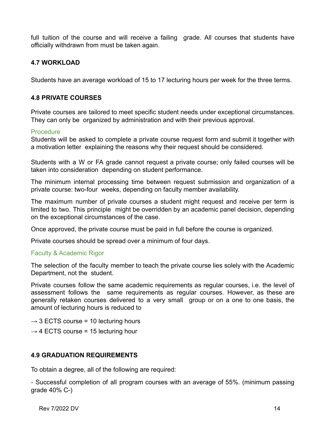full tuition of the course and will receive a failing grade. All courses that students have officially withdrawn from must be taken again.

# <span id="page-16-0"></span>**4.7 WORKLOAD**

<span id="page-16-1"></span>Students have an average workload of 15 to 17 lecturing hours per week for the three terms.

# **4.8 PRIVATE COURSES**

Private courses are tailored to meet specific student needs under exceptional circumstances. They can only be organized by administration and with their previous approval.

#### **Procedure**

Students will be asked to complete a private course request form and submit it together with a motivation letter explaining the reasons why their request should be considered.

Students with a W or FA grade cannot request a private course; only failed courses will be taken into consideration depending on student performance.

The minimum internal processing time between request submission and organization of a private course: two-four weeks, depending on faculty member availability.

The maximum number of private courses a student might request and receive per term is limited to two. This principle might be overridden by an academic panel decision, depending on the exceptional circumstances of the case.

Once approved, the private course must be paid in full before the course is organized.

Private courses should be spread over a minimum of four days.

# Faculty & Academic Rigor

The selection of the faculty member to teach the private course lies solely with the Academic Department, not the student.

Private courses follow the same academic requirements as regular courses, i.e. the level of assessment follows the same requirements as regular courses. However, as these are generally retaken courses delivered to a very small group or on a one to one basis, the amount of lecturing hours is reduced to

- $\rightarrow$  3 ECTS course = 10 lecturing hours
- <span id="page-16-2"></span> $\rightarrow$  4 ECTS course = 15 lecturing hour

# **4.9 GRADUATION REQUIREMENTS**

To obtain a degree, all of the following are required:

**-** Successful completion of all program courses with an average of 55%. (minimum passing grade 40% C-)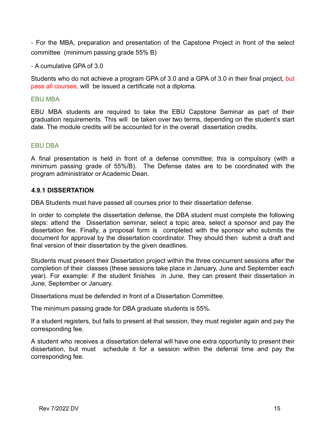**-** For the MBA, preparation and presentation of the Capstone Project in front of the select committee (minimum passing grade 55% B)

**-** A cumulative GPA of 3.0

Students who do not achieve a program GPA of 3.0 and a GPA of 3.0 in their final project, but pass all courses, will be issued a certificate not a diploma.

#### EBU MBA

EBU MBA students are required to take the EBU Capstone Seminar as part of their graduation requirements. This will be taken over two terms, depending on the student's start date. The module credits will be accounted for in the overall dissertation credits.

#### EBU DBA

A final presentation is held in front of a defense committee; this is compulsory (with a minimum passing grade of 55%/B). The Defense dates are to be coordinated with the program administrator or Academic Dean.

#### <span id="page-17-0"></span>**4.9.1 DISSERTATION**

DBA Students must have passed all courses prior to their dissertation defense.

In order to complete the dissertation defense, the DBA student must complete the following steps: attend the Dissertation seminar, select a topic area, select a sponsor and pay the dissertation fee. Finally, a proposal form is completed with the sponsor who submits the document for approval by the dissertation coordinator. They should then submit a draft and final version of their dissertation by the given deadlines.

Students must present their Dissertation project within the three concurrent sessions after the completion of their classes (these sessions take place in January, June and September each year). For example: if the student finishes in June, they can present their dissertation in June, September or January.

Dissertations must be defended in front of a Dissertation Committee.

The minimum passing grade for DBA graduate students is 55%.

If a student registers, but fails to present at that session, they must register again and pay the corresponding fee.

A student who receives a dissertation deferral will have one extra opportunity to present their dissertation, but must schedule it for a session within the deferral time and pay the corresponding fee.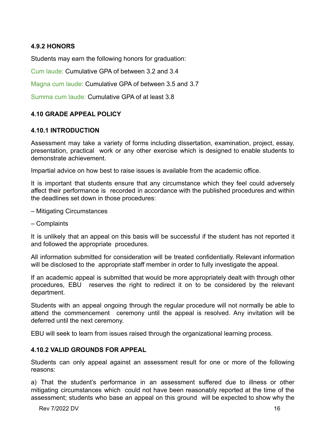# <span id="page-18-0"></span>**4.9.2 HONORS**

Students may earn the following honors for graduation:

Cum laude: Cumulative GPA of between 3.2 and 3.4

Magna cum laude: Cumulative GPA of between 3.5 and 3.7

<span id="page-18-1"></span>Summa cum laude: Cumulative GPA of at least 3.8

# <span id="page-18-2"></span>**4.10 GRADE APPEAL POLICY**

#### **4.10.1 INTRODUCTION**

Assessment may take a variety of forms including dissertation, examination, project, essay, presentation, practical work or any other exercise which is designed to enable students to demonstrate achievement.

Impartial advice on how best to raise issues is available from the academic office.

It is important that students ensure that any circumstance which they feel could adversely affect their performance is recorded in accordance with the published procedures and within the deadlines set down in those procedures:

- Mitigating Circumstances
- Complaints

It is unlikely that an appeal on this basis will be successful if the student has not reported it and followed the appropriate procedures.

All information submitted for consideration will be treated confidentially. Relevant information will be disclosed to the appropriate staff member in order to fully investigate the appeal.

If an academic appeal is submitted that would be more appropriately dealt with through other procedures, EBU reserves the right to redirect it on to be considered by the relevant department.

Students with an appeal ongoing through the regular procedure will not normally be able to attend the commencement ceremony until the appeal is resolved. Any invitation will be deferred until the next ceremony.

<span id="page-18-3"></span>EBU will seek to learn from issues raised through the organizational learning process.

#### **4.10.2 VALID GROUNDS FOR APPEAL**

Students can only appeal against an assessment result for one or more of the following reasons:

a) That the student's performance in an assessment suffered due to illness or other mitigating circumstances which could not have been reasonably reported at the time of the assessment; students who base an appeal on this ground will be expected to show why the

Rev 7/2022 DV 16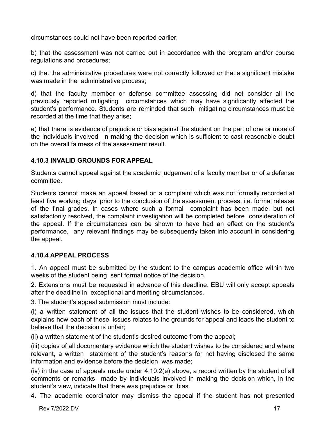circumstances could not have been reported earlier;

b) that the assessment was not carried out in accordance with the program and/or course regulations and procedures;

c) that the administrative procedures were not correctly followed or that a significant mistake was made in the administrative process;

d) that the faculty member or defense committee assessing did not consider all the previously reported mitigating circumstances which may have significantly affected the student's performance. Students are reminded that such mitigating circumstances must be recorded at the time that they arise;

e) that there is evidence of prejudice or bias against the student on the part of one or more of the individuals involved in making the decision which is sufficient to cast reasonable doubt on the overall fairness of the assessment result.

# <span id="page-19-0"></span>**4.10.3 INVALID GROUNDS FOR APPEAL**

Students cannot appeal against the academic judgement of a faculty member or of a defense committee.

Students cannot make an appeal based on a complaint which was not formally recorded at least five working days prior to the conclusion of the assessment process, i.e. formal release of the final grades. In cases where such a formal complaint has been made, but not satisfactorily resolved, the complaint investigation will be completed before consideration of the appeal. If the circumstances can be shown to have had an effect on the student's performance, any relevant findings may be subsequently taken into account in considering the appeal.

# <span id="page-19-1"></span>**4.10.4 APPEAL PROCESS**

1. An appeal must be submitted by the student to the campus academic office within two weeks of the student being sent formal notice of the decision.

2. Extensions must be requested in advance of this deadline. EBU will only accept appeals after the deadline in exceptional and meriting circumstances.

3. The student's appeal submission must include:

(i) a written statement of all the issues that the student wishes to be considered, which explains how each of these issues relates to the grounds for appeal and leads the student to believe that the decision is unfair;

(ii) a written statement of the student's desired outcome from the appeal;

(iii) copies of all documentary evidence which the student wishes to be considered and where relevant, a written statement of the student's reasons for not having disclosed the same information and evidence before the decision was made;

(iv) in the case of appeals made under 4.10.2(e) above, a record written by the student of all comments or remarks made by individuals involved in making the decision which, in the student's view, indicate that there was prejudice or bias.

4. The academic coordinator may dismiss the appeal if the student has not presented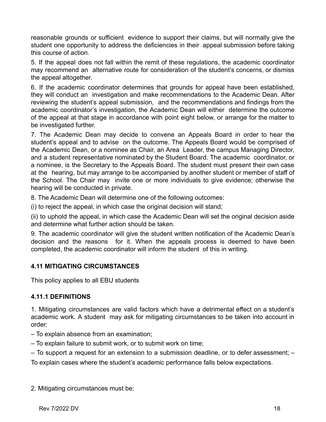reasonable grounds or sufficient evidence to support their claims, but will normally give the student one opportunity to address the deficiencies in their appeal submission before taking this course of action.

5. If the appeal does not fall within the remit of these regulations, the academic coordinator may recommend an alternative route for consideration of the student's concerns, or dismiss the appeal altogether.

6. If the academic coordinator determines that grounds for appeal have been established, they will conduct an investigation and make recommendations to the Academic Dean. After reviewing the student's appeal submission, and the recommendations and findings from the academic coordinator's investigation, the Academic Dean will either determine the outcome of the appeal at that stage in accordance with point eight below, or arrange for the matter to be investigated further.

7. The Academic Dean may decide to convene an Appeals Board in order to hear the student's appeal and to advise on the outcome. The Appeals Board would be comprised of the Academic Dean, or a nominee as Chair, an Area Leader, the campus Managing Director, and a student representative nominated by the Student Board. The academic coordinator, or a nominee, is the Secretary to the Appeals Board. The student must present their own case at the hearing, but may arrange to be accompanied by another student or member of staff of the School. The Chair may invite one or more individuals to give evidence; otherwise the hearing will be conducted in private.

8. The Academic Dean will determine one of the following outcomes:

(i) to reject the appeal, in which case the original decision will stand;

(ii) to uphold the appeal, in which case the Academic Dean will set the original decision aside and determine what further action should be taken.

9. The academic coordinator will give the student written notification of the Academic Dean's decision and the reasons for it. When the appeals process is deemed to have been completed, the academic coordinator will inform the student of this in writing.

# <span id="page-20-0"></span>**4.11 MITIGATING CIRCUMSTANCES**

<span id="page-20-1"></span>This policy applies to all EBU students

# **4.11.1 DEFINITIONS**

1. Mitigating circumstances are valid factors which have a detrimental effect on a student's academic work. A student may ask for mitigating circumstances to be taken into account in order:

- To explain absence from an examination;
- To explain failure to submit work, or to submit work on time;
- To support a request for an extension to a submission deadline, or to defer assessment; –

To explain cases where the student's academic performance falls below expectations.

2. Mitigating circumstances must be: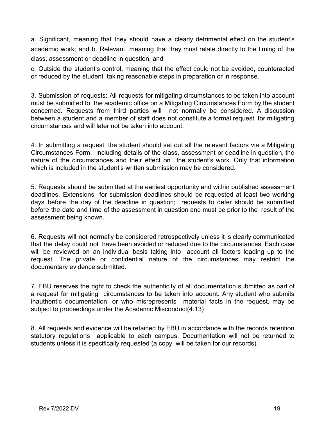a. Significant, meaning that they should have a clearly detrimental effect on the student's academic work; and b. Relevant, meaning that they must relate directly to the timing of the class, assessment or deadline in question; and

c. Outside the student's control, meaning that the effect could not be avoided, counteracted or reduced by the student taking reasonable steps in preparation or in response.

3. Submission of requests: All requests for mitigating circumstances to be taken into account must be submitted to the academic office on a Mitigating Circumstances Form by the student concerned. Requests from third parties will not normally be considered. A discussion between a student and a member of staff does not constitute a formal request for mitigating circumstances and will later not be taken into account.

4. In submitting a request, the student should set out all the relevant factors via a Mitigating Circumstances Form, including details of the class, assessment or deadline in question, the nature of the circumstances and their effect on the student's work. Only that information which is included in the student's written submission may be considered.

5. Requests should be submitted at the earliest opportunity and within published assessment deadlines. Extensions for submission deadlines should be requested at least two working days before the day of the deadline in question; requests to defer should be submitted before the date and time of the assessment in question and must be prior to the result of the assessment being known.

6. Requests will not normally be considered retrospectively unless it is clearly communicated that the delay could not have been avoided or reduced due to the circumstances. Each case will be reviewed on an individual basis taking into account all factors leading up to the request. The private or confidential nature of the circumstances may restrict the documentary evidence submitted.

7. EBU reserves the right to check the authenticity of all documentation submitted as part of a request for mitigating circumstances to be taken into account. Any student who submits inauthentic documentation, or who misrepresents material facts in the request, may be subject to proceedings under the Academic Misconduct(4.13)

8. All requests and evidence will be retained by EBU in accordance with the records retention statutory regulations applicable to each campus. Documentation will not be returned to students unless it is specifically requested (a copy will be taken for our records).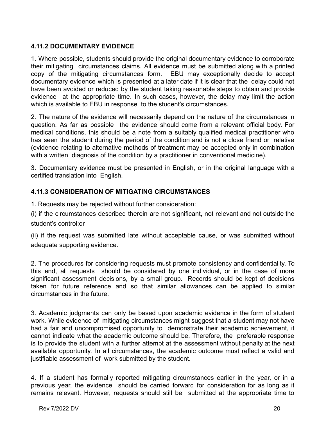# <span id="page-22-0"></span>**4.11.2 DOCUMENTARY EVIDENCE**

1. Where possible, students should provide the original documentary evidence to corroborate their mitigating circumstances claims. All evidence must be submitted along with a printed copy of the mitigating circumstances form. EBU may exceptionally decide to accept documentary evidence which is presented at a later date if it is clear that the delay could not have been avoided or reduced by the student taking reasonable steps to obtain and provide evidence at the appropriate time. In such cases, however, the delay may limit the action which is available to EBU in response to the student's circumstances.

2. The nature of the evidence will necessarily depend on the nature of the circumstances in question. As far as possible the evidence should come from a relevant official body. For medical conditions, this should be a note from a suitably qualified medical practitioner who has seen the student during the period of the condition and is not a close friend or relative (evidence relating to alternative methods of treatment may be accepted only in combination with a written diagnosis of the condition by a practitioner in conventional medicine).

3. Documentary evidence must be presented in English, or in the original language with a certified translation into English.

# <span id="page-22-1"></span>**4.11.3 CONSIDERATION OF MITIGATING CIRCUMSTANCES**

1. Requests may be rejected without further consideration:

(i) if the circumstances described therein are not significant, not relevant and not outside the student's control;or

(ii) if the request was submitted late without acceptable cause, or was submitted without adequate supporting evidence.

2. The procedures for considering requests must promote consistency and confidentiality. To this end, all requests should be considered by one individual, or in the case of more significant assessment decisions, by a small group. Records should be kept of decisions taken for future reference and so that similar allowances can be applied to similar circumstances in the future.

3. Academic judgments can only be based upon academic evidence in the form of student work. While evidence of mitigating circumstances might suggest that a student may not have had a fair and uncompromised opportunity to demonstrate their academic achievement, it cannot indicate what the academic outcome should be. Therefore, the preferable response is to provide the student with a further attempt at the assessment without penalty at the next available opportunity. In all circumstances, the academic outcome must reflect a valid and justifiable assessment of work submitted by the student.

4. If a student has formally reported mitigating circumstances earlier in the year, or in a previous year, the evidence should be carried forward for consideration for as long as it remains relevant. However, requests should still be submitted at the appropriate time to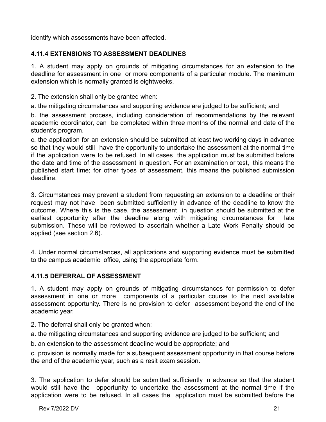<span id="page-23-0"></span>identify which assessments have been affected.

# **4.11.4 EXTENSIONS TO ASSESSMENT DEADLINES**

1. A student may apply on grounds of mitigating circumstances for an extension to the deadline for assessment in one or more components of a particular module. The maximum extension which is normally granted is eightweeks.

2. The extension shall only be granted when:

a. the mitigating circumstances and supporting evidence are judged to be sufficient; and

b. the assessment process, including consideration of recommendations by the relevant academic coordinator, can be completed within three months of the normal end date of the student's program.

c. the application for an extension should be submitted at least two working days in advance so that they would still have the opportunity to undertake the assessment at the normal time if the application were to be refused. In all cases the application must be submitted before the date and time of the assessment in question. For an examination or test, this means the published start time; for other types of assessment, this means the published submission deadline.

3. Circumstances may prevent a student from requesting an extension to a deadline or their request may not have been submitted sufficiently in advance of the deadline to know the outcome. Where this is the case, the assessment in question should be submitted at the earliest opportunity after the deadline along with mitigating circumstances for late submission. These will be reviewed to ascertain whether a Late Work Penalty should be applied (see section 2.6).

4. Under normal circumstances, all applications and supporting evidence must be submitted to the campus academic office, using the appropriate form.

# <span id="page-23-1"></span>**4.11.5 DEFERRAL OF ASSESSMENT**

1. A student may apply on grounds of mitigating circumstances for permission to defer assessment in one or more components of a particular course to the next available assessment opportunity. There is no provision to defer assessment beyond the end of the academic year.

- 2. The deferral shall only be granted when:
- a. the mitigating circumstances and supporting evidence are judged to be sufficient; and
- b. an extension to the assessment deadline would be appropriate; and

c. provision is normally made for a subsequent assessment opportunity in that course before the end of the academic year, such as a resit exam session.

3. The application to defer should be submitted sufficiently in advance so that the student would still have the opportunity to undertake the assessment at the normal time if the application were to be refused. In all cases the application must be submitted before the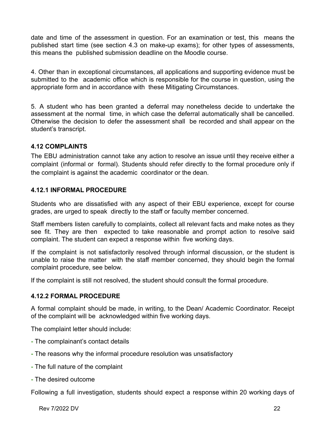date and time of the assessment in question. For an examination or test, this means the published start time (see section 4.3 on make-up exams); for other types of assessments, this means the published submission deadline on the Moodle course.

4. Other than in exceptional circumstances, all applications and supporting evidence must be submitted to the academic office which is responsible for the course in question, using the appropriate form and in accordance with these Mitigating Circumstances.

5. A student who has been granted a deferral may nonetheless decide to undertake the assessment at the normal time, in which case the deferral automatically shall be cancelled. Otherwise the decision to defer the assessment shall be recorded and shall appear on the student's transcript.

# <span id="page-24-0"></span>**4.12 COMPLAINTS**

The EBU administration cannot take any action to resolve an issue until they receive either a complaint (informal or formal). Students should refer directly to the formal procedure only if the complaint is against the academic coordinator or the dean.

# <span id="page-24-1"></span>**4.12.1 INFORMAL PROCEDURE**

Students who are dissatisfied with any aspect of their EBU experience, except for course grades, are urged to speak directly to the staff or faculty member concerned.

Staff members listen carefully to complaints, collect all relevant facts and make notes as they see fit. They are then expected to take reasonable and prompt action to resolve said complaint. The student can expect a response within five working days.

If the complaint is not satisfactorily resolved through informal discussion, or the student is unable to raise the matter with the staff member concerned, they should begin the formal complaint procedure, see below.

<span id="page-24-2"></span>If the complaint is still not resolved, the student should consult the formal procedure.

#### **4.12.2 FORMAL PROCEDURE**

A formal complaint should be made, in writing, to the Dean/ Academic Coordinator. Receipt of the complaint will be acknowledged within five working days.

The complaint letter should include:

- **-** The complainant's contact details
- **-** The reasons why the informal procedure resolution was unsatisfactory
- **-** The full nature of the complaint
- **-** The desired outcome

Following a full investigation, students should expect a response within 20 working days of

Rev 7/2022 DV 22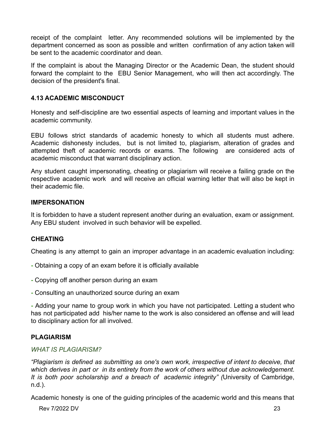receipt of the complaint letter. Any recommended solutions will be implemented by the department concerned as soon as possible and written confirmation of any action taken will be sent to the academic coordinator and dean.

If the complaint is about the Managing Director or the Academic Dean, the student should forward the complaint to the EBU Senior Management, who will then act accordingly. The decision of the president's final.

### <span id="page-25-0"></span>**4.13 ACADEMIC MISCONDUCT**

Honesty and self-discipline are two essential aspects of learning and important values in the academic community.

EBU follows strict standards of academic honesty to which all students must adhere. Academic dishonesty includes, but is not limited to, plagiarism, alteration of grades and attempted theft of academic records or exams. The following are considered acts of academic misconduct that warrant disciplinary action.

Any student caught impersonating, cheating or plagiarism will receive a failing grade on the respective academic work and will receive an official warning letter that will also be kept in their academic file.

#### <span id="page-25-1"></span>**IMPERSONATION**

It is forbidden to have a student represent another during an evaluation, exam or assignment. Any EBU student involved in such behavior will be expelled.

# <span id="page-25-2"></span>**CHEATING**

Cheating is any attempt to gain an improper advantage in an academic evaluation including:

- **-** Obtaining a copy of an exam before it is officially available
- **-** Copying off another person during an exam
- **-** Consulting an unauthorized source during an exam

**-** Adding your name to group work in which you have not participated. Letting a student who has not participated add his/her name to the work is also considered an offense and will lead to disciplinary action for all involved.

#### <span id="page-25-3"></span>**PLAGIARISM**

#### *WHAT IS PLAGIARISM?*

*"Plagiarism is defined as submitting as one's own work, irrespective of intent to deceive, that which derives in part or in its entirety from the work of others without due acknowledgement. It is both poor scholarship and a breach of academic integrity" (*University of Cambridge, n.d.).

Academic honesty is one of the guiding principles of the academic world and this means that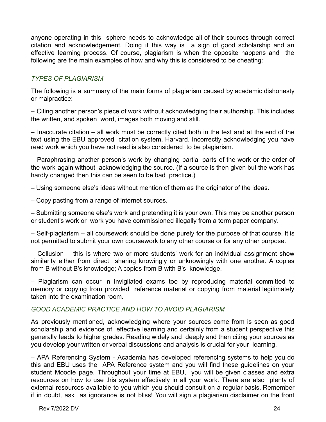anyone operating in this sphere needs to acknowledge all of their sources through correct citation and acknowledgement. Doing it this way is a sign of good scholarship and an effective learning process. Of course, plagiarism is when the opposite happens and the following are the main examples of how and why this is considered to be cheating:

# *TYPES OF PLAGIARISM*

The following is a summary of the main forms of plagiarism caused by academic dishonesty or malpractice:

– Citing another person's piece of work without acknowledging their authorship. This includes the written, and spoken word, images both moving and still.

– Inaccurate citation – all work must be correctly cited both in the text and at the end of the text using the EBU approved citation system, Harvard. Incorrectly acknowledging you have read work which you have not read is also considered to be plagiarism.

– Paraphrasing another person's work by changing partial parts of the work or the order of the work again without acknowledging the source. (If a source is then given but the work has hardly changed then this can be seen to be bad practice.)

– Using someone else's ideas without mention of them as the originator of the ideas.

– Copy pasting from a range of internet sources.

– Submitting someone else's work and pretending it is your own. This may be another person or student's work or work you have commissioned illegally from a term paper company.

– Self-plagiarism – all coursework should be done purely for the purpose of that course. It is not permitted to submit your own coursework to any other course or for any other purpose.

– Collusion – this is where two or more students' work for an individual assignment show similarity either from direct sharing knowingly or unknowingly with one another. A copies from B without B's knowledge; A copies from B with B's knowledge.

– Plagiarism can occur in invigilated exams too by reproducing material committed to memory or copying from provided reference material or copying from material legitimately taken into the examination room.

#### *GOOD ACADEMIC PRACTICE AND HOW TO AVOID PLAGIARISM*

As previously mentioned, acknowledging where your sources come from is seen as good scholarship and evidence of effective learning and certainly from a student perspective this generally leads to higher grades. Reading widely and deeply and then citing your sources as you develop your written or verbal discussions and analysis is crucial for your learning.

– APA Referencing System - Academia has developed referencing systems to help you do this and EBU uses the APA Reference system and you will find these guidelines on your student Moodle page. Throughout your time at EBU, you will be given classes and extra resources on how to use this system effectively in all your work. There are also plenty of external resources available to you which you should consult on a regular basis. Remember if in doubt, ask as ignorance is not bliss! You will sign a plagiarism disclaimer on the front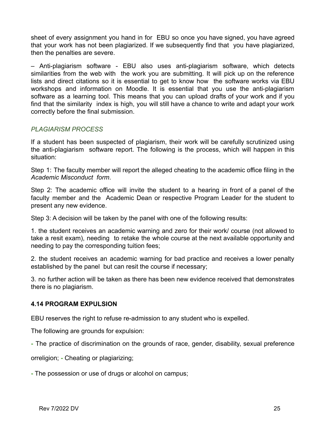sheet of every assignment you hand in for EBU so once you have signed, you have agreed that your work has not been plagiarized. If we subsequently find that you have plagiarized, then the penalties are severe.

– Anti-plagiarism software - EBU also uses anti-plagiarism software, which detects similarities from the web with the work you are submitting. It will pick up on the reference lists and direct citations so it is essential to get to know how the software works via EBU workshops and information on Moodle. It is essential that you use the anti-plagiarism software as a learning tool. This means that you can upload drafts of your work and if you find that the similarity index is high, you will still have a chance to write and adapt your work correctly before the final submission.

# *PLAGIARISM PROCESS*

If a student has been suspected of plagiarism, their work will be carefully scrutinized using the anti-plagiarism software report. The following is the process, which will happen in this situation:

Step 1: The faculty member will report the alleged cheating to the academic office filing in the *Academic Misconduct form*.

Step 2: The academic office will invite the student to a hearing in front of a panel of the faculty member and the Academic Dean or respective Program Leader for the student to present any new evidence.

Step 3: A decision will be taken by the panel with one of the following results:

1. the student receives an academic warning and zero for their work/ course (not allowed to take a resit exam), needing to retake the whole course at the next available opportunity and needing to pay the corresponding tuition fees;

2. the student receives an academic warning for bad practice and receives a lower penalty established by the panel but can resit the course if necessary;

3. no further action will be taken as there has been new evidence received that demonstrates there is no plagiarism.

#### <span id="page-27-0"></span>**4.14 PROGRAM EXPULSION**

EBU reserves the right to refuse re-admission to any student who is expelled.

The following are grounds for expulsion:

**-** The practice of discrimination on the grounds of race, gender, disability, sexual preference

orreligion; **-** Cheating or plagiarizing;

**-** The possession or use of drugs or alcohol on campus;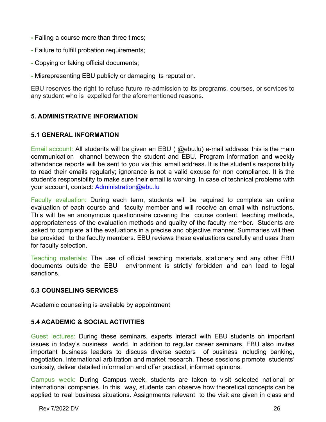- **-** Failing a course more than three times;
- **-** Failure to fulfill probation requirements;
- **-** Copying or faking official documents;
- **-** Misrepresenting EBU publicly or damaging its reputation.

EBU reserves the right to refuse future re-admission to its programs, courses, or services to any student who is expelled for the aforementioned reasons.

# <span id="page-28-1"></span><span id="page-28-0"></span>**5. ADMINISTRATIVE INFORMATION**

# **5.1 GENERAL INFORMATION**

Email account: All students will be given an EBU (@ebu.lu) e-mail address; this is the main communication channel between the student and EBU. Program information and weekly attendance reports will be sent to you via this email address. It is the student's responsibility to read their emails regularly; ignorance is not a valid excuse for non compliance. It is the student's responsibility to make sure their email is working. In case of technical problems with your account, contact: Administration@ebu.lu

Faculty evaluation: During each term, students will be required to complete an online evaluation of each course and faculty member and will receive an email with instructions. This will be an anonymous questionnaire covering the course content, teaching methods, appropriateness of the evaluation methods and quality of the faculty member. Students are asked to complete all the evaluations in a precise and objective manner. Summaries will then be provided to the faculty members. EBU reviews these evaluations carefully and uses them for faculty selection.

Teaching materials: The use of official teaching materials, stationery and any other EBU documents outside the EBU environment is strictly forbidden and can lead to legal sanctions.

# <span id="page-28-2"></span>**5.3 COUNSELING SERVICES**

<span id="page-28-3"></span>Academic counseling is available by appointment

# **5.4 ACADEMIC & SOCIAL ACTIVITIES**

Guest lectures: During these seminars, experts interact with EBU students on important issues in today's business world. In addition to regular career seminars, EBU also invites important business leaders to discuss diverse sectors of business including banking, negotiation, international arbitration and market research. These sessions promote students' curiosity, deliver detailed information and offer practical, informed opinions.

Campus week: During Campus week, students are taken to visit selected national or international companies. In this way, students can observe how theoretical concepts can be applied to real business situations. Assignments relevant to the visit are given in class and